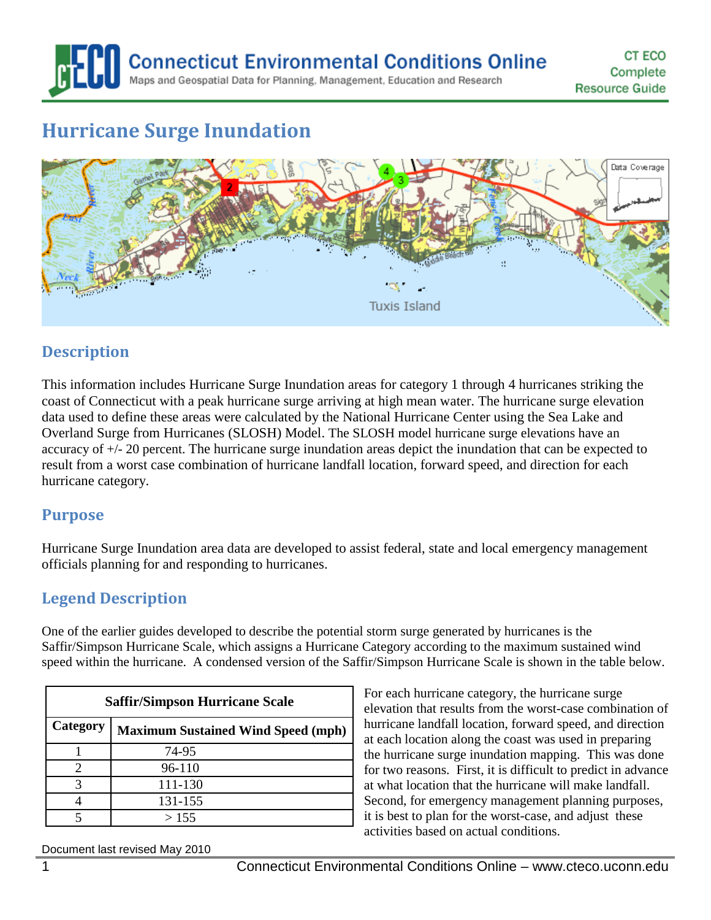**Connecticut Environmental Conditions Online** Maps and Geospatial Data for Planning, Management, Education and Research

# **Hurricane Surge Inundation**



# **Description**

This information includes Hurricane Surge Inundation areas for category 1 through 4 hurricanes striking the coast of Connecticut with a peak hurricane surge arriving at high mean water. The hurricane surge elevation data used to define these areas were calculated by the National Hurricane Center using the Sea Lake and Overland Surge from Hurricanes (SLOSH) Model. The SLOSH model hurricane surge elevations have an accuracy of +/- 20 percent. The hurricane surge inundation areas depict the inundation that can be expected to result from a worst case combination of hurricane landfall location, forward speed, and direction for each hurricane category.

#### **Purpose**

Hurricane Surge Inundation area data are developed to assist federal, state and local emergency management officials planning for and responding to hurricanes.

# **Legend Description**

One of the earlier guides developed to describe the potential storm surge generated by hurricanes is the Saffir/Simpson Hurricane Scale, which assigns a Hurricane Category according to the maximum sustained wind speed within the hurricane. A condensed version of the Saffir/Simpson Hurricane Scale is shown in the table below.

| <b>Saffir/Simpson Hurricane Scale</b> |                                           |
|---------------------------------------|-------------------------------------------|
| Category                              | <b>Maximum Sustained Wind Speed (mph)</b> |
|                                       | 74-95                                     |
| 2                                     | 96-110                                    |
| 3                                     | 111-130                                   |
|                                       | 131-155                                   |
|                                       | >155                                      |

For each hurricane category, the hurricane surge elevation that results from the worst-case combination of hurricane landfall location, forward speed, and direction at each location along the coast was used in preparing the hurricane surge inundation mapping. This was done for two reasons. First, it is difficult to predict in advance at what location that the hurricane will make landfall. Second, for emergency management planning purposes, it is best to plan for the worst-case, and adjust these activities based on actual conditions.

Document last revised May 2010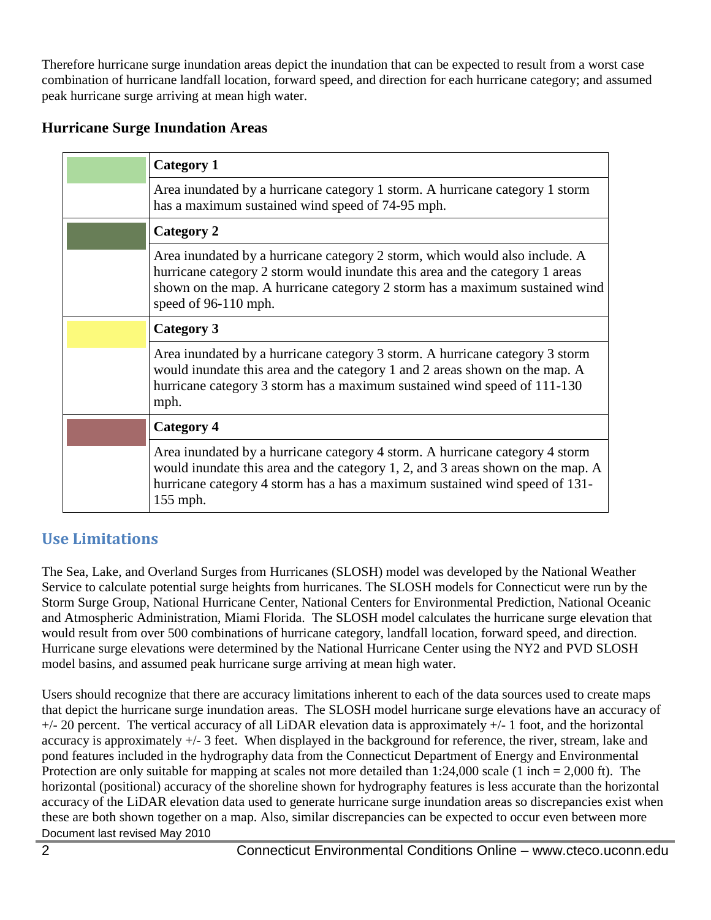Therefore hurricane surge inundation areas depict the inundation that can be expected to result from a worst case combination of hurricane landfall location, forward speed, and direction for each hurricane category; and assumed peak hurricane surge arriving at mean high water.

#### **Hurricane Surge Inundation Areas**

| <b>Category 1</b>                                                                                                                                                                                                                                                  |
|--------------------------------------------------------------------------------------------------------------------------------------------------------------------------------------------------------------------------------------------------------------------|
| Area inundated by a hurricane category 1 storm. A hurricane category 1 storm<br>has a maximum sustained wind speed of 74-95 mph.                                                                                                                                   |
| <b>Category 2</b>                                                                                                                                                                                                                                                  |
| Area inundated by a hurricane category 2 storm, which would also include. A<br>hurricane category 2 storm would inundate this area and the category 1 areas<br>shown on the map. A hurricane category 2 storm has a maximum sustained wind<br>speed of 96-110 mph. |
| Category 3                                                                                                                                                                                                                                                         |
| Area inundated by a hurricane category 3 storm. A hurricane category 3 storm<br>would inundate this area and the category 1 and 2 areas shown on the map. A<br>hurricane category 3 storm has a maximum sustained wind speed of 111-130<br>mph.                    |
| <b>Category 4</b>                                                                                                                                                                                                                                                  |
| Area inundated by a hurricane category 4 storm. A hurricane category 4 storm<br>would inundate this area and the category 1, 2, and 3 areas shown on the map. A<br>hurricane category 4 storm has a has a maximum sustained wind speed of 131-<br>155 mph.         |

# **Use Limitations**

The Sea, Lake, and Overland Surges from Hurricanes (SLOSH) model was developed by the National Weather Service to calculate potential surge heights from hurricanes. The SLOSH models for Connecticut were run by the Storm Surge Group, National Hurricane Center, National Centers for Environmental Prediction, National Oceanic and Atmospheric Administration, Miami Florida. The SLOSH model calculates the hurricane surge elevation that would result from over 500 combinations of hurricane category, landfall location, forward speed, and direction. Hurricane surge elevations were determined by the National Hurricane Center using the NY2 and PVD SLOSH model basins, and assumed peak hurricane surge arriving at mean high water.

Document last revised May 2010 Users should recognize that there are accuracy limitations inherent to each of the data sources used to create maps that depict the hurricane surge inundation areas. The SLOSH model hurricane surge elevations have an accuracy of  $+/- 20$  percent. The vertical accuracy of all LiDAR elevation data is approximately  $+/- 1$  foot, and the horizontal accuracy is approximately +/- 3 feet. When displayed in the background for reference, the river, stream, lake and pond features included in the hydrography data from the Connecticut Department of Energy and Environmental Protection are only suitable for mapping at scales not more detailed than 1:24,000 scale (1 inch = 2,000 ft). The horizontal (positional) accuracy of the shoreline shown for hydrography features is less accurate than the horizontal accuracy of the LiDAR elevation data used to generate hurricane surge inundation areas so discrepancies exist when these are both shown together on a map. Also, similar discrepancies can be expected to occur even between more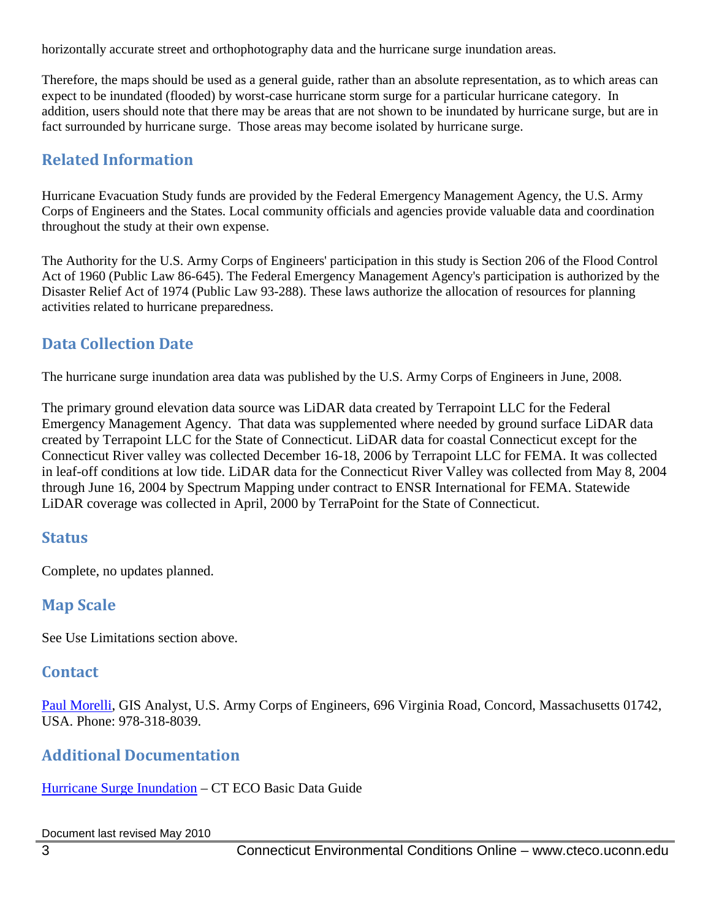horizontally accurate street and orthophotography data and the hurricane surge inundation areas.

Therefore, the maps should be used as a general guide, rather than an absolute representation, as to which areas can expect to be inundated (flooded) by worst-case hurricane storm surge for a particular hurricane category. In addition, users should note that there may be areas that are not shown to be inundated by hurricane surge, but are in fact surrounded by hurricane surge. Those areas may become isolated by hurricane surge.

# **Related Information**

Hurricane Evacuation Study funds are provided by the Federal Emergency Management Agency, the U.S. Army Corps of Engineers and the States. Local community officials and agencies provide valuable data and coordination throughout the study at their own expense.

The Authority for the U.S. Army Corps of Engineers' participation in this study is Section 206 of the Flood Control Act of 1960 (Public Law 86-645). The Federal Emergency Management Agency's participation is authorized by the Disaster Relief Act of 1974 (Public Law 93-288). These laws authorize the allocation of resources for planning activities related to hurricane preparedness.

# **Data Collection Date**

The hurricane surge inundation area data was published by the U.S. Army Corps of Engineers in June, 2008.

The primary ground elevation data source was LiDAR data created by Terrapoint LLC for the Federal Emergency Management Agency. That data was supplemented where needed by ground surface LiDAR data created by Terrapoint LLC for the State of Connecticut. LiDAR data for coastal Connecticut except for the Connecticut River valley was collected December 16-18, 2006 by Terrapoint LLC for FEMA. It was collected in leaf-off conditions at low tide. LiDAR data for the Connecticut River Valley was collected from May 8, 2004 through June 16, 2004 by Spectrum Mapping under contract to ENSR International for FEMA. Statewide LiDAR coverage was collected in April, 2000 by TerraPoint for the State of Connecticut.

# **Status**

Complete, no updates planned.

# **Map Scale**

See Use Limitations section above.

# **Contact**

[Paul Morelli,](mailto:Paul.D.Morelli@usac.army.gov) GIS Analyst, U.S. Army Corps of Engineers, 696 Virginia Road, Concord, Massachusetts 01742, USA. Phone: 978-318-8039.

# **Additional Documentation**

[Hurricane Surge Inundation](http://www.cteco.uconn.edu/guides/CT_Hurricane_Surge_Inuncation.htm) – CT ECO Basic Data Guide

Document last revised May 2010